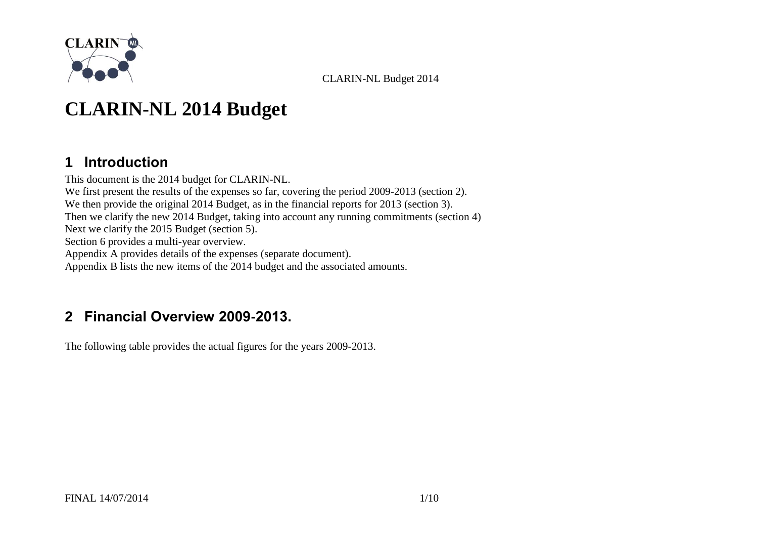

# **CLARIN-NL 2014 Budget**

### **1 Introduction**

This document is the 2014 budget for CLARIN-NL. We first present the results of the expenses so far, covering the period 2009-2013 (section [2\)](#page-0-0). We then provide the original 2014 Budget, as in the financial reports for 2013 (section [3\)](#page-2-0). Then we clarify the new 2014 Budget, taking into account any running commitments (section [4\)](#page-3-0) Next we clarify the 2015 Budget (section [5\)](#page-6-0). Section [6](#page-6-1) provides a multi-year overview. [Appendix A](#page-7-0) provides details of the expenses (separate document). [Appendix B](#page-8-0) lists the new items of the 2014 budget and the associated amounts.

### <span id="page-0-0"></span>**2 Financial Overview 2009-2013.**

The following table provides the actual figures for the years 2009-2013.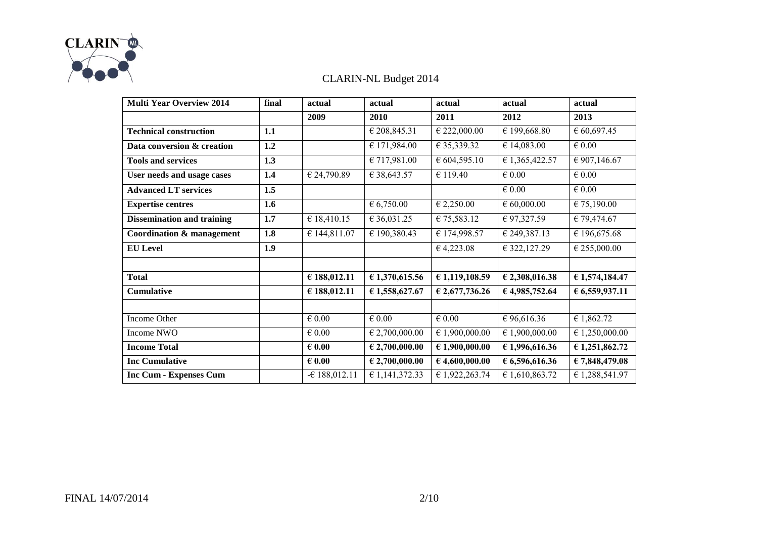

| <b>Multi Year Overview 2014</b>   | final | actual          | actual                  | actual          | actual          | actual          |
|-----------------------------------|-------|-----------------|-------------------------|-----------------|-----------------|-----------------|
|                                   |       | 2009            | 2010                    | 2011            | 2012            | 2013            |
| <b>Technical construction</b>     | 1.1   |                 | € 208,845.31            | € 222,000.00    | € 199,668.80    | 60,697.45       |
| Data conversion & creation        | 1.2   |                 | € 171,984.00            | € 35,339.32     | € 14,083.00     | $\epsilon$ 0.00 |
| <b>Tools and services</b>         | 1.3   |                 | € 717,981.00            | € 604,595.10    | € 1,365,422.57  | € 907,146.67    |
| User needs and usage cases        | 1.4   | € 24,790.89     | € 38,643.57             | € 119.40        | $\in 0.00$      | $\in 0.00$      |
| <b>Advanced LT services</b>       | 1.5   |                 |                         |                 | $\epsilon$ 0.00 | $\epsilon$ 0.00 |
| <b>Expertise centres</b>          | 1.6   |                 | 6,750.00                | € 2,250.00      | $\in 60,000.00$ | € 75,190.00     |
| <b>Dissemination and training</b> | 1.7   | €18,410.15      | € 36,031.25             | € 75,583.12     | € 97,327.59     | € 79,474.67     |
| Coordination & management         | 1.8   | € 144,811.07    | € 190,380.43            | € 174,998.57    | € 249,387.13    | € 196,675.68    |
| <b>EU</b> Level                   | 1.9   |                 |                         | 64,223.08       | € 322,127.29    | € 255,000.00    |
|                                   |       |                 |                         |                 |                 |                 |
| <b>Total</b>                      |       | € 188,012.11    | € 1,370,615.56          | € 1,119,108.59  | € 2,308,016.38  | € 1,574,184.47  |
| <b>Cumulative</b>                 |       | € 188,012.11    | € 1,558,627.67          | € 2,677,736.26  | 64,985,752.64   | € 6,559,937.11  |
|                                   |       |                 |                         |                 |                 |                 |
| Income Other                      |       | $\in 0.00$      | $\in 0.00$              | $\epsilon$ 0.00 | €96,616.36      | € 1,862.72      |
| Income NWO                        |       | $\epsilon$ 0.00 | € 2,700,000.00          | € 1,900,000.00  | € 1,900,000.00  | € 1,250,000.00  |
| <b>Income Total</b>               |       | $\epsilon$ 0.00 | $\epsilon$ 2,700,000.00 | €1,900,000.00   | € 1,996,616.36  | € 1,251,862.72  |
| <b>Inc Cumulative</b>             |       | $\epsilon$ 0.00 | $\epsilon$ 2,700,000.00 | €4,600,000.00   | 6,596,616.36    | € 7,848,479.08  |
| <b>Inc Cum - Expenses Cum</b>     |       | $-6188,012.11$  | € 1,141,372.33          | € 1,922,263.74  | € 1,610,863.72  | € 1,288,541.97  |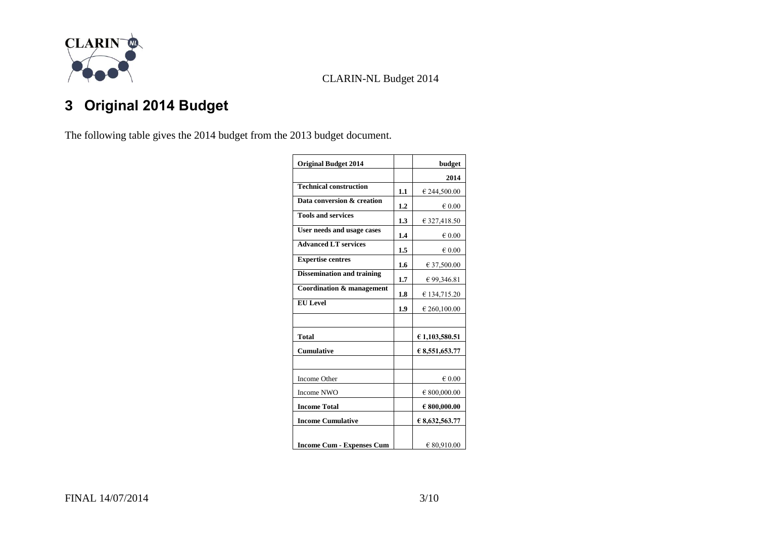

# <span id="page-2-0"></span>**3 Original 2014 Budget**

The following table gives the 2014 budget from the 2013 budget document.

| <b>Original Budget 2014</b>       |     | budget          |
|-----------------------------------|-----|-----------------|
|                                   |     | 2014            |
| <b>Technical construction</b>     | 1.1 | € 244,500.00    |
| Data conversion & creation        | 1.2 | $\epsilon$ 0.00 |
| <b>Tools and services</b>         | 1.3 | € 327,418.50    |
| User needs and usage cases        | 1.4 | $\epsilon$ 0.00 |
| <b>Advanced LT services</b>       | 1.5 | $\epsilon$ 0.00 |
| <b>Expertise centres</b>          | 1.6 | € 37,500.00     |
| <b>Dissemination and training</b> | 1.7 | € 99,346.81     |
| Coordination & management         | 1.8 | € 134,715.20    |
| <b>EU</b> Level                   | 1.9 | € 260,100.00    |
|                                   |     |                 |
| <b>Total</b>                      |     | € 1,103,580.51  |
| Cumulative                        |     | € 8,551,653.77  |
|                                   |     |                 |
| Income Other                      |     | $\epsilon$ 0.00 |
| Income NWO                        |     | € 800,000.00    |
| <b>Income Total</b>               |     | € 800,000.00    |
| <b>Income Cumulative</b>          |     | € 8,632,563.77  |
| <b>Income Cum - Expenses Cum</b>  |     | € 80,910.00     |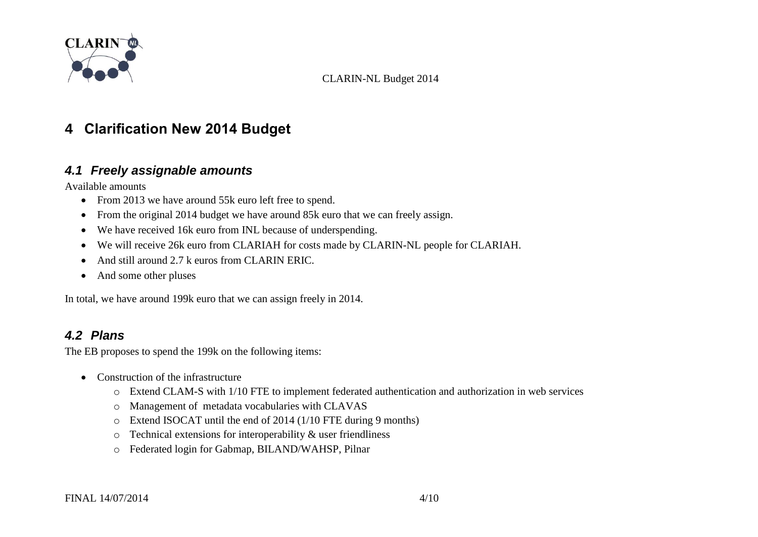

### <span id="page-3-0"></span>**4 Clarification New 2014 Budget**

#### *4.1 Freely assignable amounts*

Available amounts

- From 2013 we have around 55k euro left free to spend.
- From the original 2014 budget we have around 85k euro that we can freely assign.
- We have received 16k euro from INL because of underspending.
- We will receive 26k euro from CLARIAH for costs made by CLARIN-NL people for CLARIAH.
- And still around 2.7 k euros from CLARIN ERIC.
- And some other pluses

In total, we have around 199k euro that we can assign freely in 2014.

### <span id="page-3-1"></span>*4.2 Plans*

The EB proposes to spend the 199k on the following items:

- Construction of the infrastructure
	- o Extend CLAM-S with 1/10 FTE to implement federated authentication and authorization in web services
	- o Management of metadata vocabularies with CLAVAS
	- o Extend ISOCAT until the end of 2014 (1/10 FTE during 9 months)
	- o Technical extensions for interoperability & user friendliness
	- o Federated login for Gabmap, BILAND/WAHSP, Pilnar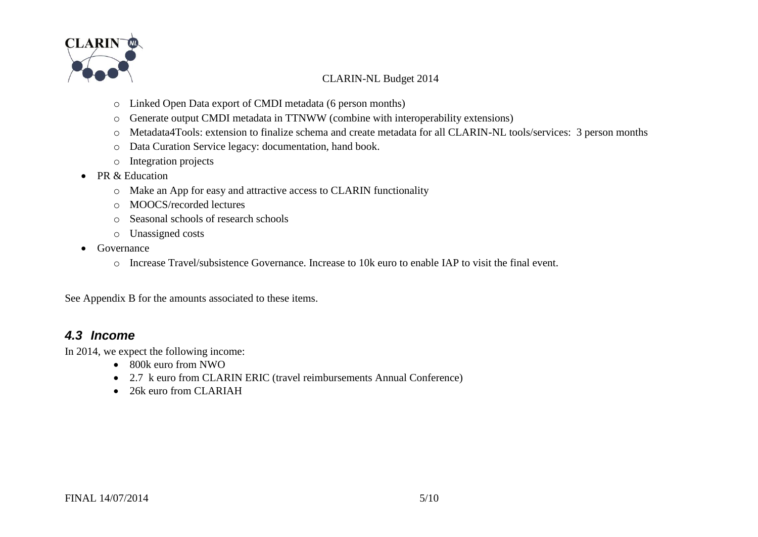

- o Linked Open Data export of CMDI metadata (6 person months)
- o Generate output CMDI metadata in TTNWW (combine with interoperability extensions)
- o Metadata4Tools: extension to finalize schema and create metadata for all CLARIN-NL tools/services: 3 person months
- o Data Curation Service legacy: documentation, hand book.
- o Integration projects
- PR & Education
	- o Make an App for easy and attractive access to CLARIN functionality
	- o MOOCS/recorded lectures
	- o Seasonal schools of research schools
	- o Unassigned costs
- Governance
	- o Increase Travel/subsistence Governance. Increase to 10k euro to enable IAP to visit the final event.

See [Appendix B](#page-8-0) for the amounts associated to these items.

#### *4.3 Income*

In 2014, we expect the following income:

- 800k euro from NWO
- 2.7 k euro from CLARIN ERIC (travel reimbursements Annual Conference)
- 26k euro from CLARIAH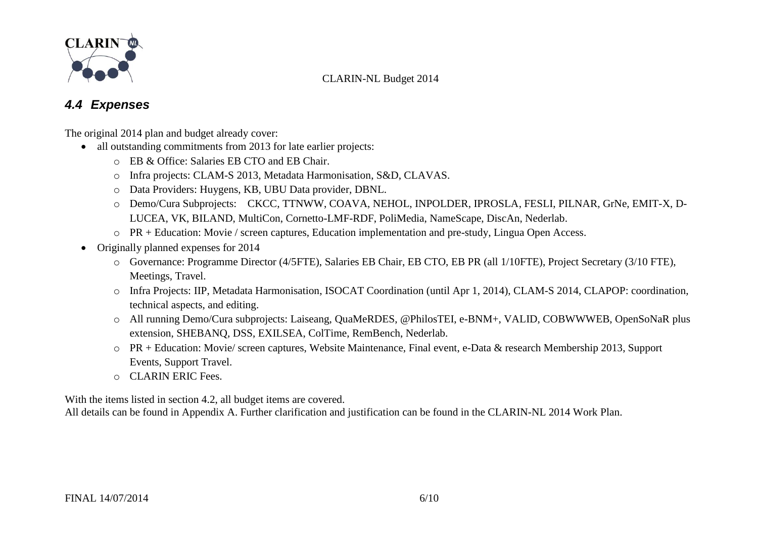

### *4.4 Expenses*

The original 2014 plan and budget already cover:

- all outstanding commitments from 2013 for late earlier projects:
	- o EB & Office: Salaries EB CTO and EB Chair.
	- o Infra projects: CLAM-S 2013, Metadata Harmonisation, S&D, CLAVAS.
	- o Data Providers: Huygens, KB, UBU Data provider, DBNL.
	- o Demo/Cura Subprojects: CKCC, TTNWW, COAVA, NEHOL, INPOLDER, IPROSLA, FESLI, PILNAR, GrNe, EMIT-X, D-LUCEA, VK, BILAND, MultiCon, Cornetto-LMF-RDF, PoliMedia, NameScape, DiscAn, Nederlab.
	- o PR + Education: Movie / screen captures, Education implementation and pre-study, Lingua Open Access.
- Originally planned expenses for 2014
	- o Governance: Programme Director (4/5FTE), Salaries EB Chair, EB CTO, EB PR (all 1/10FTE), Project Secretary (3/10 FTE), Meetings, Travel.
	- o Infra Projects: IIP, Metadata Harmonisation, ISOCAT Coordination (until Apr 1, 2014), CLAM-S 2014, CLAPOP: coordination, technical aspects, and editing.
	- o All running Demo/Cura subprojects: Laiseang, QuaMeRDES, @PhilosTEI, e-BNM+, VALID, COBWWWEB, OpenSoNaR plus extension, SHEBANQ, DSS, EXILSEA, ColTime, RemBench, Nederlab.
	- o PR + Education: Movie/ screen captures, Website Maintenance, Final event, e-Data & research Membership 2013, Support Events, Support Travel.
	- o CLARIN ERIC Fees.

With the items listed in section [4.2,](#page-3-1) all budget items are covered.

All details can be found in [Appendix A.](#page-7-0) Further clarification and justification can be found in the CLARIN-NL 2014 Work Plan.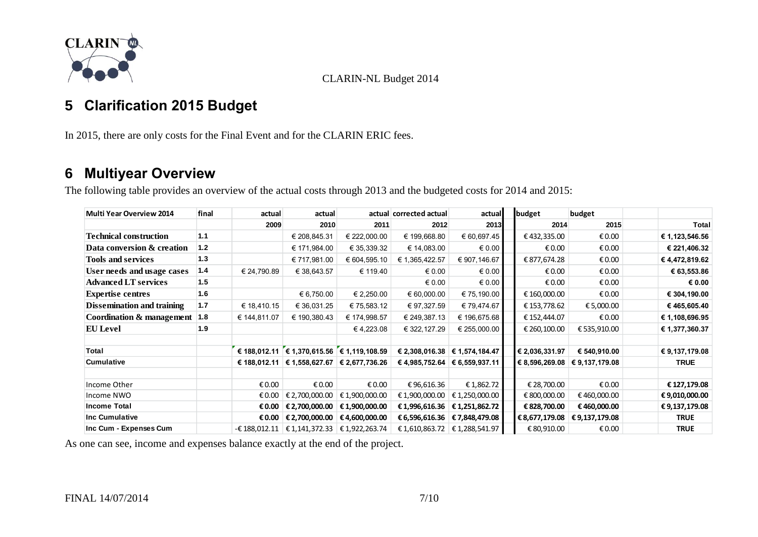

### <span id="page-6-0"></span>**5 Clarification 2015 Budget**

In 2015, there are only costs for the Final Event and for the CLARIN ERIC fees.

### <span id="page-6-1"></span>**6 Multiyear Overview**

The following table provides an overview of the actual costs through 2013 and the budgeted costs for 2014 and 2015:

| <b>Multi Year Overview 2014</b> | final | actual          | actual         |                                                    | actual corrected actual | actual                            | budget         |              | budget                            |                 |
|---------------------------------|-------|-----------------|----------------|----------------------------------------------------|-------------------------|-----------------------------------|----------------|--------------|-----------------------------------|-----------------|
|                                 |       | 2009            | 2010           | 2011                                               | 2012                    | 2013                              |                | 2014         | 2015                              | Total           |
| Technical construction          | 1.1   |                 | € 208,845.31   | € 222,000.00                                       | € 199,668.80            | € 60,697.45                       |                | €432,335.00  | € 0.00                            | € 1,123,546.56  |
| Data conversion & creation      | 1.2   |                 | € 171,984.00   | € 35,339.32                                        | € 14,083.00             | € 0.00                            |                | € 0.00       | € 0.00                            | € 221,406.32    |
| <b>Tools and services</b>       | 1.3   |                 | € 717,981.00   | € 604,595.10                                       | € 1,365,422.57          | € 907,146.67                      |                | € 877,674.28 | € 0.00                            | €4,472,819.62   |
| User needs and usage cases      | 1.4   | € 24,790.89     | € 38,643.57    | € 119.40                                           | € 0.00                  | € 0.00                            |                | € 0.00       | € 0.00                            | € 63,553.86     |
| <b>Advanced LT services</b>     | 1.5   |                 |                |                                                    | € 0.00                  | $\epsilon$ 0.00                   |                | € 0.00       | € 0.00                            | $\epsilon$ 0.00 |
| <b>Expertise centres</b>        | 1.6   |                 | € 6,750.00     | € 2,250.00                                         | 60,000.00               | € 75,190.00                       |                | € 160,000.00 | € 0.00                            | € 304,190.00    |
| Dissemination and training      | 1.7   | € 18,410.15     | € 36,031.25    | € 75,583.12                                        | € 97,327.59             | € 79,474.67                       |                | € 153,778.62 | € 5,000.00                        | € 465,605.40    |
| Coordination & management  1.8  |       | € 144,811.07    | € 190,380.43   | € 174,998.57                                       | € 249,387.13            | € 196,675.68                      |                | € 152,444.07 | € 0.00                            | € 1,108,696.95  |
| <b>EU</b> Level                 | 1.9   |                 |                | € 4,223.08                                         | € 322, 127.29           | € 255,000.00                      |                | € 260,100.00 | € 535,910.00                      | € 1,377,360.37  |
|                                 |       |                 |                |                                                    |                         |                                   |                |              |                                   |                 |
| Total                           |       |                 |                | € 188,012.11 $\in$ 1,370,615.56 $\in$ 1,119,108.59 |                         | € 2,308,016.38 $\in$ 1,574,184.47 | € 2,036,331.97 |              | € 540,910.00                      | € 9,137,179.08  |
| <b>Cumulative</b>               |       | € 188,012.11    |                | € 1,558,627.67 $\in$ 2,677,736.26                  |                         | € 4,985,752.64 $\in$ 6,559,937.11 |                |              | € 8,596,269.08 $\in$ 9,137,179.08 | <b>TRUE</b>     |
|                                 |       |                 |                |                                                    |                         |                                   |                |              |                                   |                 |
| Income Other                    |       | € 0.00          | € 0.00         | € 0.00                                             | €96,616.36              | €1,862.72                         |                | € 28,700.00  | € 0.00                            | € 127,179.08    |
| Income NWO                      |       | € 0.00          | € 2,700,000.00 | € 1,900,000.00                                     | €1,900,000.00           | € 1,250,000.00                    |                | € 800,000.00 | €460,000.00                       | €9,010,000.00   |
| <b>Income Total</b>             |       | € 0.00          | € 2,700,000.00 | € 1,900,000.00                                     | €1,996,616.36           | € 1,251,862.72                    |                | € 828,700.00 | €460,000.00                       | €9,137,179.08   |
| <b>Inc Cumulative</b>           |       | € 0.00 $\vert$  | € 2,700,000.00 | € 4,600,000.00                                     | € 6,596,616.36          | € 7,848,479.08                    | € 8,677,179.08 |              | €9,137,179.08                     | TRUE            |
| Inc Cum - Expenses Cum          |       | $-£$ 188,012.11 |                | € 1,141,372.33 $\in$ 1,922,263.74                  |                         | € 1,610,863.72 $\in$ 1,288,541.97 |                | € 80,910.00  | € 0.00                            | <b>TRUE</b>     |

As one can see, income and expenses balance exactly at the end of the project.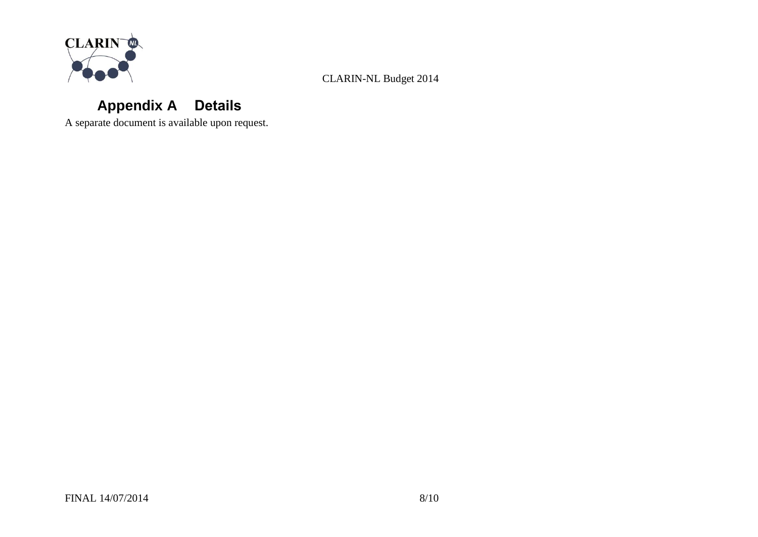

# **Appendix A Details**

<span id="page-7-0"></span>A separate document is available upon request.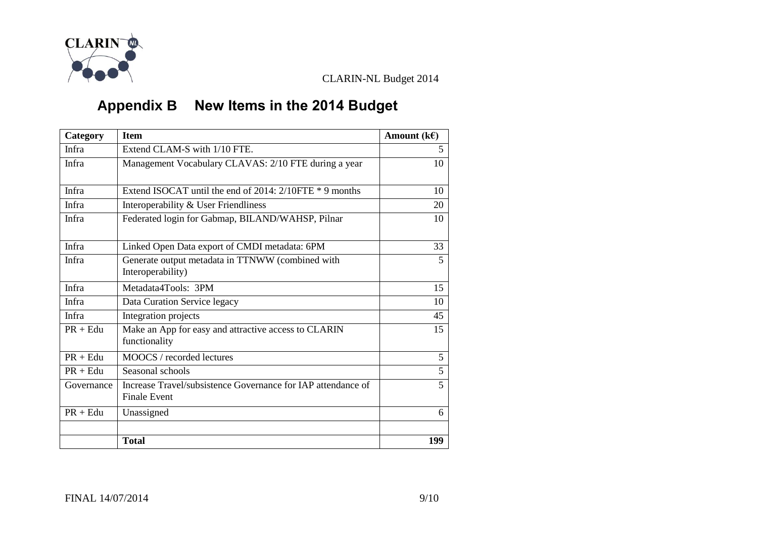

# **Appendix B New Items in the 2014 Budget**

<span id="page-8-0"></span>

| Category     | <b>Item</b>                                                           | Amount $(k \in)$ |
|--------------|-----------------------------------------------------------------------|------------------|
| <b>Infra</b> | Extend CLAM-S with 1/10 FTE.                                          | 5                |
| <b>Infra</b> | Management Vocabulary CLAVAS: 2/10 FTE during a year                  | 10               |
|              |                                                                       |                  |
| <b>Infra</b> | Extend ISOCAT until the end of 2014: $2/10$ FTE $*$ 9 months          | 10               |
| Infra        | Interoperability & User Friendliness                                  | 20               |
| Infra        | Federated login for Gabmap, BILAND/WAHSP, Pilnar                      | 10               |
| Infra        |                                                                       | 33               |
|              | Linked Open Data export of CMDI metadata: 6PM                         |                  |
| Infra        | Generate output metadata in TTNWW (combined with<br>Interoperability) | 5                |
| Infra        | Metadata4Tools: 3PM                                                   | 15               |
| Infra        | Data Curation Service legacy                                          | 10               |
| Infra        | Integration projects                                                  | 45               |
| $PR + Edu$   | Make an App for easy and attractive access to CLARIN<br>functionality | 15               |
| $PR + Edu$   | MOOCS / recorded lectures                                             | 5                |
| $PR + Edu$   | Seasonal schools                                                      | 5                |
| Governance   | Increase Travel/subsistence Governance for IAP attendance of          | 5                |
|              | <b>Finale Event</b>                                                   |                  |
| $PR + Edu$   | Unassigned                                                            | 6                |
|              |                                                                       |                  |
|              | <b>Total</b>                                                          | 199              |